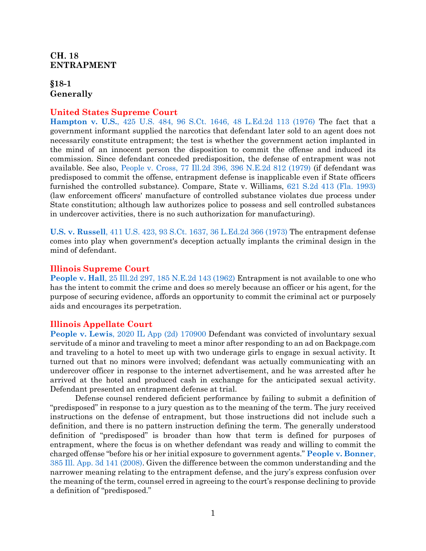# <span id="page-1-0"></span>**CH.** 18 **ENTRAPMENT**

# <span id="page-1-1"></span>**§18-1 Generally**

# **United States Supreme Court**

**Hampton v. U.S.**[, 425 U.S. 484, 96 S.Ct. 1646, 48 L.Ed.2d 113 \(1976\)](https://www.westlaw.com/Document/Ic1e6ca639c1e11d991d0cc6b54f12d4d/View/FullText.html?transitionType=Default&contextData=(sc.Default)&VR=3.0&RS=da3.0) The fact that a government informant supplied the narcotics that defendant later sold to an agent does not necessarily constitute entrapment; the test is whether the government action implanted in the mind of an innocent person the disposition to commit the offense and induced its commission. Since defendant conceded predisposition, the defense of entrapment was not available. See also, [People v. Cross, 77 Ill.2d 396, 396 N.E.2d 812 \(1979\)](https://www.westlaw.com/Document/Iad70f4c2d93711d9a489ee624f1f6e1a/View/FullText.html?transitionType=Default&contextData=(sc.Default)&VR=3.0&RS=da3.0) (if defendant was predisposed to commit the offense, entrapment defense is inapplicable even if State officers furnished the controlled substance). Compare, State v. Williams, [621 S.2d 413 \(Fla. 1993\)](https://www.westlaw.com/Document/I0120dbc70c8311d9bc18e8274af85244/View/FullText.html?transitionType=Default&contextData=(sc.Default)&VR=3.0&RS=da3.0) (law enforcement officers' manufacture of controlled substance violates due process under State constitution; although law authorizes police to possess and sell controlled substances in undercover activities, there is no such authorization for manufacturing).

**U.S. v. Russell**[, 411 U.S. 423, 93 S.Ct. 1637, 36 L.Ed.2d 366 \(1973\)](https://www.westlaw.com/Document/I31998d179c2511d9bdd1cfdd544ca3a4/View/FullText.html?transitionType=Default&contextData=(sc.Default)&VR=3.0&RS=da3.0) The entrapment defense comes into play when government's deception actually implants the criminal design in the mind of defendant.

## **Illinois Supreme Court**

**People v. Hall**[, 25 Ill.2d 297, 185 N.E.2d 143 \(1962\)](https://www.westlaw.com/Document/Iec2190b0ee7411d9b386b232635db992/View/FullText.html?transitionType=Default&contextData=(sc.Default)&VR=3.0&RS=da3.0) Entrapment is not available to one who has the intent to commit the crime and does so merely because an officer or his agent, for the purpose of securing evidence, affords an opportunity to commit the criminal act or purposely aids and encourages its perpetration.

## **Illinois Appellate Court**

**People v. Lewis**[, 2020 IL App \(2d\) 170900 D](https://www.westlaw.com/Document/I0d7b9ac0262211eb814286c17c3596e2/View/FullText.html?transitionType=Default&contextData=(sc.Default)&VR=3.0&RS=da3.0)efendant was convicted of involuntary sexual servitude of a minor and traveling to meet a minor after responding to an ad on Backpage.com and traveling to a hotel to meet up with two underage girls to engage in sexual activity. It turned out that no minors were involved; defendant was actually communicating with an undercover officer in response to the internet advertisement, and he was arrested after he arrived at the hotel and produced cash in exchange for the anticipated sexual activity. Defendant presented an entrapment defense at trial.

Defense counsel rendered deficient performance by failing to submit a definition of "predisposed" in response to a jury question as to the meaning of the term. The jury received instructions on the defense of entrapment, but those instructions did not include such a definition, and there is no pattern instruction defining the term. The generally understood definition of "predisposed" is broader than how that term is defined for purposes of entrapment, where the focus is on whether defendant was ready and willing to commit the charged offense "before his or her initial exposure to government agents." **[People v. Bonner](https://www.westlaw.com/Document/I7ab9576b8b5911ddb5cbad29a280d47c/View/FullText.html?transitionType=Default&contextData=(sc.Default)&VR=3.0&RS=da3.0)**, [385 Ill. App. 3d 141 \(2008\).](https://www.westlaw.com/Document/I7ab9576b8b5911ddb5cbad29a280d47c/View/FullText.html?transitionType=Default&contextData=(sc.Default)&VR=3.0&RS=da3.0) Given the difference between the common understanding and the narrower meaning relating to the entrapment defense, and the jury's express confusion over the meaning of the term, counsel erred in agreeing to the court's response declining to provide a definition of "predisposed."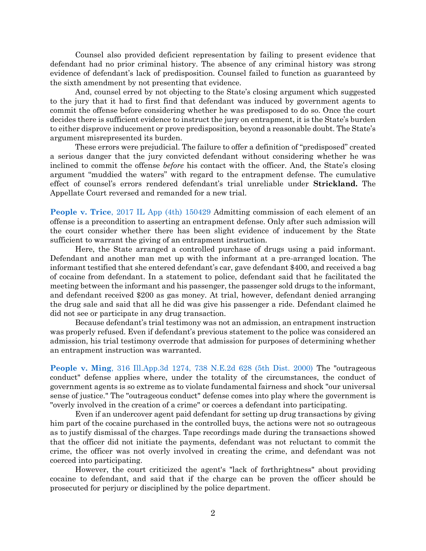Counsel also provided deficient representation by failing to present evidence that defendant had no prior criminal history. The absence of any criminal history was strong evidence of defendant's lack of predisposition. Counsel failed to function as guaranteed by the sixth amendment by not presenting that evidence.

And, counsel erred by not objecting to the State's closing argument which suggested to the jury that it had to first find that defendant was induced by government agents to commit the offense before considering whether he was predisposed to do so. Once the court decides there is sufficient evidence to instruct the jury on entrapment, it is the State's burden to either disprove inducement or prove predisposition, beyond a reasonable doubt. The State's argument misrepresented its burden.

These errors were prejudicial. The failure to offer a definition of "predisposed" created a serious danger that the jury convicted defendant without considering whether he was inclined to commit the offense *before* his contact with the officer. And, the State's closing argument "muddied the waters" with regard to the entrapment defense. The cumulative effect of counsel's errors rendered defendant's trial unreliable under **Strickland.** The Appellate Court reversed and remanded for a new trial.

**People v. Trice**[, 2017 IL App \(4th\) 150429](https://www.westlaw.com/Document/I9bfde390bf6c11e79c8f8bb0457c507d/View/FullText.html?transitionType=Default&contextData=(sc.Default)&VR=3.0&RS=da3.0) Admitting commission of each element of an offense is a precondition to asserting an entrapment defense. Only after such admission will the court consider whether there has been slight evidence of inducement by the State sufficient to warrant the giving of an entrapment instruction.

Here, the State arranged a controlled purchase of drugs using a paid informant. Defendant and another man met up with the informant at a pre-arranged location. The informant testified that she entered defendant's car, gave defendant \$400, and received a bag of cocaine from defendant. In a statement to police, defendant said that he facilitated the meeting between the informant and his passenger, the passenger sold drugs to the informant, and defendant received \$200 as gas money. At trial, however, defendant denied arranging the drug sale and said that all he did was give his passenger a ride. Defendant claimed he did not see or participate in any drug transaction.

Because defendant's trial testimony was not an admission, an entrapment instruction was properly refused. Even if defendant's previous statement to the police was considered an admission, his trial testimony overrode that admission for purposes of determining whether an entrapment instruction was warranted.

**People v. Ming**[, 316 Ill.App.3d 1274, 738 N.E.2d 628 \(5th Dist. 2000\)](https://www.westlaw.com/Document/I1f036867d3a211d98ac8f235252e36df/View/FullText.html?transitionType=Default&contextData=(sc.Default)&VR=3.0&RS=da3.0) The "outrageous conduct" defense applies where, under the totality of the circumstances, the conduct of government agents is so extreme as to violate fundamental fairness and shock "our universal sense of justice." The "outrageous conduct" defense comes into play where the government is "overly involved in the creation of a crime" or coerces a defendant into participating.

Even if an undercover agent paid defendant for setting up drug transactions by giving him part of the cocaine purchased in the controlled buys, the actions were not so outrageous as to justify dismissal of the charges. Tape recordings made during the transactions showed that the officer did not initiate the payments, defendant was not reluctant to commit the crime, the officer was not overly involved in creating the crime, and defendant was not coerced into participating.

However, the court criticized the agent's "lack of forthrightness" about providing cocaine to defendant, and said that if the charge can be proven the officer should be prosecuted for perjury or disciplined by the police department.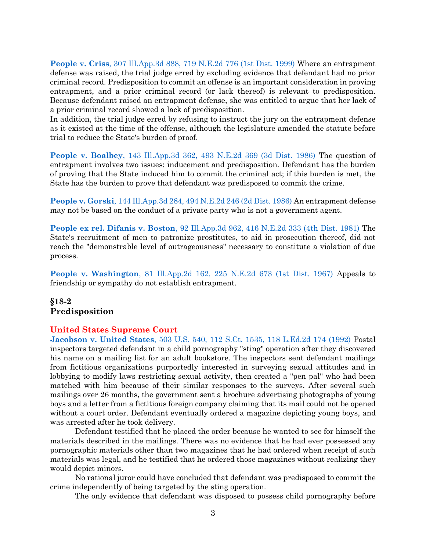**People v. Criss**[, 307 Ill.App.3d 888, 719 N.E.2d 776 \(1st Dist. 1999\)](https://www.westlaw.com/Document/I06acfe25d3a711d983e7e9deff98dc6f/View/FullText.html?transitionType=Default&contextData=(sc.Default)&VR=3.0&RS=da3.0) Where an entrapment defense was raised, the trial judge erred by excluding evidence that defendant had no prior criminal record. Predisposition to commit an offense is an important consideration in proving entrapment, and a prior criminal record (or lack thereof) is relevant to predisposition. Because defendant raised an entrapment defense, she was entitled to argue that her lack of a prior criminal record showed a lack of predisposition.

In addition, the trial judge erred by refusing to instruct the jury on the entrapment defense as it existed at the time of the offense, although the legislature amended the statute before trial to reduce the State's burden of proof.

**People v. Boalbey**[, 143 Ill.App.3d 362, 493 N.E.2d 369 \(3d Dist. 1986\)](https://www.westlaw.com/Document/I2efccec9d37311d98ac8f235252e36df/View/FullText.html?transitionType=Default&contextData=(sc.Default)&VR=3.0&RS=da3.0) The question of entrapment involves two issues: inducement and predisposition. Defendant has the burden of proving that the State induced him to commit the criminal act; if this burden is met, the State has the burden to prove that defendant was predisposed to commit the crime.

**People v. Gorski**[, 144 Ill.App.3d 284, 494 N.E.2d 246 \(2d Dist. 1986\)](https://www.westlaw.com/Document/I42ff44d2d34511d9bf60c1d57ebc853e/View/FullText.html?transitionType=Default&contextData=(sc.Default)&VR=3.0&RS=da3.0) An entrapment defense may not be based on the conduct of a private party who is not a government agent.

**People ex rel. Difanis v. Boston**[, 92 Ill.App.3d 962, 416 N.E.2d 333 \(4th Dist. 1981\)](https://www.westlaw.com/Document/I962e7380d33e11d983e7e9deff98dc6f/View/FullText.html?transitionType=Default&contextData=(sc.Default)&VR=3.0&RS=da3.0) The State's recruitment of men to patronize prostitutes, to aid in prosecution thereof, did not reach the "demonstrable level of outrageousness" necessary to constitute a violation of due process.

**People v. Washington**[, 81 Ill.App.2d 162, 225 N.E.2d 673 \(1st Dist. 1967\)](https://www.westlaw.com/Document/Iab81dfd3d94011d9a489ee624f1f6e1a/View/FullText.html?transitionType=Default&contextData=(sc.Default)&VR=3.0&RS=da3.0) Appeals to friendship or sympathy do not establish entrapment.

# <span id="page-3-0"></span>**§18-2 Predisposition**

## **United States Supreme Court**

**Jacobson v. United States**[, 503 U.S. 540, 112 S.Ct. 1535, 118 L.Ed.2d 174 \(1992\)](https://www.westlaw.com/Document/I72e9294d9c9a11d991d0cc6b54f12d4d/View/FullText.html?transitionType=Default&contextData=(sc.Default)&VR=3.0&RS=da3.0) Postal inspectors targeted defendant in a child pornography "sting" operation after they discovered his name on a mailing list for an adult bookstore. The inspectors sent defendant mailings from fictitious organizations purportedly interested in surveying sexual attitudes and in lobbying to modify laws restricting sexual activity, then created a "pen pal" who had been matched with him because of their similar responses to the surveys. After several such mailings over 26 months, the government sent a brochure advertising photographs of young boys and a letter from a fictitious foreign company claiming that its mail could not be opened without a court order. Defendant eventually ordered a magazine depicting young boys, and was arrested after he took delivery.

Defendant testified that he placed the order because he wanted to see for himself the materials described in the mailings. There was no evidence that he had ever possessed any pornographic materials other than two magazines that he had ordered when receipt of such materials was legal, and he testified that he ordered those magazines without realizing they would depict minors.

No rational juror could have concluded that defendant was predisposed to commit the crime independently of being targeted by the sting operation.

The only evidence that defendant was disposed to possess child pornography before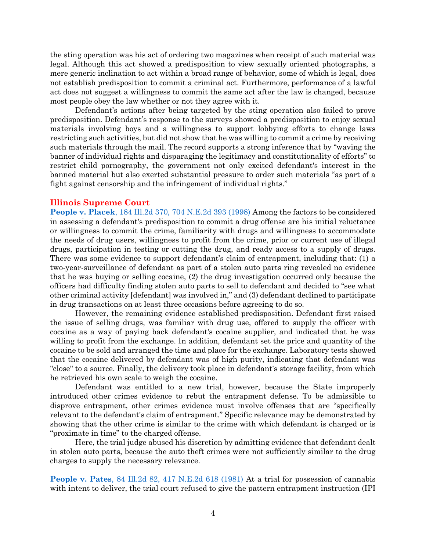the sting operation was his act of ordering two magazines when receipt of such material was legal. Although this act showed a predisposition to view sexually oriented photographs, a mere generic inclination to act within a broad range of behavior, some of which is legal, does not establish predisposition to commit a criminal act. Furthermore, performance of a lawful act does not suggest a willingness to commit the same act after the law is changed, because most people obey the law whether or not they agree with it.

Defendant's actions after being targeted by the sting operation also failed to prove predisposition. Defendant's response to the surveys showed a predisposition to enjoy sexual materials involving boys and a willingness to support lobbying efforts to change laws restricting such activities, but did not show that he was willing to commit a crime by receiving such materials through the mail. The record supports a strong inference that by "waving the banner of individual rights and disparaging the legitimacy and constitutionality of efforts" to restrict child pornography, the government not only excited defendant's interest in the banned material but also exerted substantial pressure to order such materials "as part of a fight against censorship and the infringement of individual rights."

### **Illinois Supreme Court**

**People v. Placek**[, 184 Ill.2d 370, 704 N.E.2d 393 \(1998\)](https://www.westlaw.com/Document/Icf177249d3b211d9a489ee624f1f6e1a/View/FullText.html?transitionType=Default&contextData=(sc.Default)&VR=3.0&RS=da3.0) Among the factors to be considered in assessing a defendant's predisposition to commit a drug offense are his initial reluctance or willingness to commit the crime, familiarity with drugs and willingness to accommodate the needs of drug users, willingness to profit from the crime, prior or current use of illegal drugs, participation in testing or cutting the drug, and ready access to a supply of drugs. There was some evidence to support defendant's claim of entrapment, including that: (1) a two-year-surveillance of defendant as part of a stolen auto parts ring revealed no evidence that he was buying or selling cocaine, (2) the drug investigation occurred only because the officers had difficulty finding stolen auto parts to sell to defendant and decided to "see what other criminal activity [defendant] was involved in," and (3) defendant declined to participate in drug transactions on at least three occasions before agreeing to do so.

However, the remaining evidence established predisposition. Defendant first raised the issue of selling drugs, was familiar with drug use, offered to supply the officer with cocaine as a way of paying back defendant's cocaine supplier, and indicated that he was willing to profit from the exchange. In addition, defendant set the price and quantity of the cocaine to be sold and arranged the time and place for the exchange. Laboratory tests showed that the cocaine delivered by defendant was of high purity, indicating that defendant was "close" to a source. Finally, the delivery took place in defendant's storage facility, from which he retrieved his own scale to weigh the cocaine.

Defendant was entitled to a new trial, however, because the State improperly introduced other crimes evidence to rebut the entrapment defense. To be admissible to disprove entrapment, other crimes evidence must involve offenses that are "specifically relevant to the defendant's claim of entrapment." Specific relevance may be demonstrated by showing that the other crime is similar to the crime with which defendant is charged or is "proximate in time" to the charged offense.

Here, the trial judge abused his discretion by admitting evidence that defendant dealt in stolen auto parts, because the auto theft crimes were not sufficiently similar to the drug charges to supply the necessary relevance.

**People v. Pates**[, 84 Ill.2d 82, 417 N.E.2d 618 \(1981\)](https://www.westlaw.com/Document/I96757285d38911d9bf60c1d57ebc853e/View/FullText.html?transitionType=Default&contextData=(sc.Default)&VR=3.0&RS=da3.0) At a trial for possession of cannabis with intent to deliver, the trial court refused to give the pattern entrapment instruction (IPI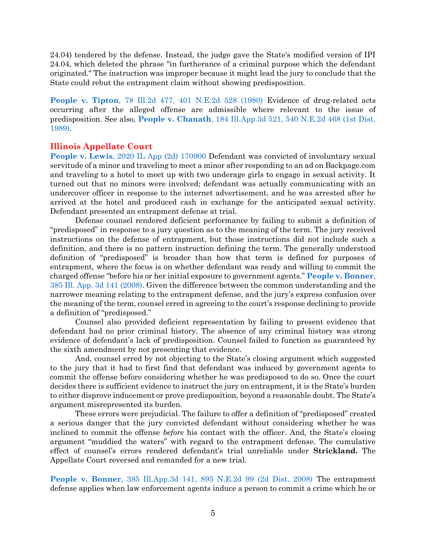24.04) tendered by the defense. Instead, the judge gave the State's modified version of IPI 24.04, which deleted the phrase "in furtherance of a criminal purpose which the defendant originated." The instruction was improper because it might lead the jury to conclude that the State could rebut the entrapment claim without showing predisposition.

**People v. Tipton**[, 78 Ill.2d 477, 401 N.E.2d 528 \(1980\)](https://www.westlaw.com/Document/Ia5c112e2d33d11d983e7e9deff98dc6f/View/FullText.html?transitionType=Default&contextData=(sc.Default)&VR=3.0&RS=da3.0) Evidence of drug-related acts occurring after the alleged offense are admissible where relevant to the issue of predisposition. See also, **People v. Chanath**[, 184 Ill.App.3d 521, 540 N.E.2d 468 \(1st Dist.](https://www.westlaw.com/Document/I963418ded33e11d983e7e9deff98dc6f/View/FullText.html?transitionType=Default&contextData=(sc.Default)&VR=3.0&RS=da3.0)  [1989\).](https://www.westlaw.com/Document/I963418ded33e11d983e7e9deff98dc6f/View/FullText.html?transitionType=Default&contextData=(sc.Default)&VR=3.0&RS=da3.0)

## **Illinois Appellate Court**

**People v. Lewis**[, 2020 IL App \(2d\) 170900 D](https://www.westlaw.com/Document/I0d7b9ac0262211eb814286c17c3596e2/View/FullText.html?transitionType=Default&contextData=(sc.Default)&VR=3.0&RS=da3.0)efendant was convicted of involuntary sexual servitude of a minor and traveling to meet a minor after responding to an ad on Backpage.com and traveling to a hotel to meet up with two underage girls to engage in sexual activity. It turned out that no minors were involved; defendant was actually communicating with an undercover officer in response to the internet advertisement, and he was arrested after he arrived at the hotel and produced cash in exchange for the anticipated sexual activity. Defendant presented an entrapment defense at trial.

Defense counsel rendered deficient performance by failing to submit a definition of "predisposed" in response to a jury question as to the meaning of the term. The jury received instructions on the defense of entrapment, but those instructions did not include such a definition, and there is no pattern instruction defining the term. The generally understood definition of "predisposed" is broader than how that term is defined for purposes of entrapment, where the focus is on whether defendant was ready and willing to commit the charged offense "before his or her initial exposure to government agents." **[People v. Bonner](https://www.westlaw.com/Document/I7ab9576b8b5911ddb5cbad29a280d47c/View/FullText.html?transitionType=Default&contextData=(sc.Default)&VR=3.0&RS=da3.0)**, [385 Ill. App. 3d 141 \(2008\).](https://www.westlaw.com/Document/I7ab9576b8b5911ddb5cbad29a280d47c/View/FullText.html?transitionType=Default&contextData=(sc.Default)&VR=3.0&RS=da3.0) Given the difference between the common understanding and the narrower meaning relating to the entrapment defense, and the jury's express confusion over the meaning of the term, counsel erred in agreeing to the court's response declining to provide a definition of "predisposed."

Counsel also provided deficient representation by failing to present evidence that defendant had no prior criminal history. The absence of any criminal history was strong evidence of defendant's lack of predisposition. Counsel failed to function as guaranteed by the sixth amendment by not presenting that evidence.

And, counsel erred by not objecting to the State's closing argument which suggested to the jury that it had to first find that defendant was induced by government agents to commit the offense before considering whether he was predisposed to do so. Once the court decides there is sufficient evidence to instruct the jury on entrapment, it is the State's burden to either disprove inducement or prove predisposition, beyond a reasonable doubt. The State's argument misrepresented its burden.

These errors were prejudicial. The failure to offer a definition of "predisposed" created a serious danger that the jury convicted defendant without considering whether he was inclined to commit the offense *before* his contact with the officer. And, the State's closing argument "muddied the waters" with regard to the entrapment defense. The cumulative effect of counsel's errors rendered defendant's trial unreliable under **Strickland.** The Appellate Court reversed and remanded for a new trial.

**People v. Bonner**[, 385 Ill.App.3d 141, 895 N.E.2d 99 \(2d Dist. 2008\)](https://www.westlaw.com/Document/I7ab9576b8b5911ddb5cbad29a280d47c/View/FullText.html?transitionType=Default&contextData=(sc.Default)&VR=3.0&RS=da3.0) The entrapment defense applies when law enforcement agents induce a person to commit a crime which he or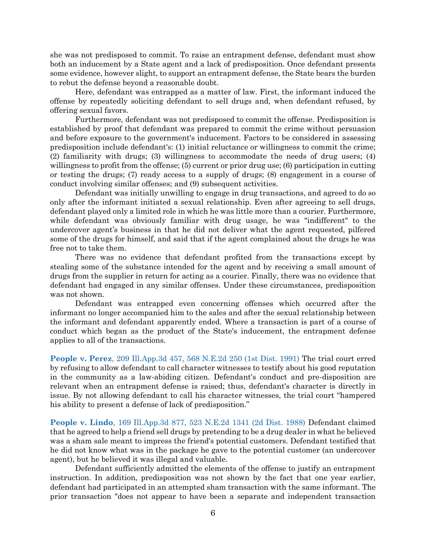she was not predisposed to commit. To raise an entrapment defense, defendant must show both an inducement by a State agent and a lack of predisposition. Once defendant presents some evidence, however slight, to support an entrapment defense, the State bears the burden to rebut the defense beyond a reasonable doubt.

Here, defendant was entrapped as a matter of law. First, the informant induced the offense by repeatedly soliciting defendant to sell drugs and, when defendant refused, by offering sexual favors.

Furthermore, defendant was not predisposed to commit the offense. Predisposition is established by proof that defendant was prepared to commit the crime without persuasion and before exposure to the government's inducement. Factors to be considered in assessing predisposition include defendant's: (1) initial reluctance or willingness to commit the crime; (2) familiarity with drugs; (3) willingness to accommodate the needs of drug users; (4) willingness to profit from the offense; (5) current or prior drug use; (6) participation in cutting or testing the drugs; (7) ready access to a supply of drugs; (8) engagement in a course of conduct involving similar offenses; and (9) subsequent activities.

Defendant was initially unwilling to engage in drug transactions, and agreed to do so only after the informant initiated a sexual relationship. Even after agreeing to sell drugs, defendant played only a limited role in which he was little more than a courier. Furthermore, while defendant was obviously familiar with drug usage, he was "indifferent" to the undercover agent's business in that he did not deliver what the agent requested, pilfered some of the drugs for himself, and said that if the agent complained about the drugs he was free not to take them.

There was no evidence that defendant profited from the transactions except by stealing some of the substance intended for the agent and by receiving a small amount of drugs from the supplier in return for acting as a courier. Finally, there was no evidence that defendant had engaged in any similar offenses. Under these circumstances, predisposition was not shown.

Defendant was entrapped even concerning offenses which occurred after the informant no longer accompanied him to the sales and after the sexual relationship between the informant and defendant apparently ended. Where a transaction is part of a course of conduct which began as the product of the State's inducement, the entrapment defense applies to all of the transactions.

**People v. Perez**[, 209 Ill.App.3d 457, 568 N.E.2d 250 \(1st Dist. 1991\)](https://www.westlaw.com/Document/I50b4b451d43711d99439b076ef9ec4de/View/FullText.html?transitionType=Default&contextData=(sc.Default)&VR=3.0&RS=da3.0) The trial court erred by refusing to allow defendant to call character witnesses to testify about his good reputation in the community as a law-abiding citizen. Defendant's conduct and pre-disposition are relevant when an entrapment defense is raised; thus, defendant's character is directly in issue. By not allowing defendant to call his character witnesses, the trial court "hampered his ability to present a defense of lack of predisposition."

**People v. Lindo**[, 169 Ill.App.3d 877, 523 N.E.2d 1341 \(2d Dist. 1988\)](https://www.westlaw.com/Document/I7876f0a4d2b311d98ac8f235252e36df/View/FullText.html?transitionType=Default&contextData=(sc.Default)&VR=3.0&RS=da3.0) Defendant claimed that he agreed to help a friend sell drugs by pretending to be a drug dealer in what he believed was a sham sale meant to impress the friend's potential customers. Defendant testified that he did not know what was in the package he gave to the potential customer (an undercover agent), but he believed it was illegal and valuable.

Defendant sufficiently admitted the elements of the offense to justify an entrapment instruction. In addition, predisposition was not shown by the fact that one year earlier, defendant had participated in an attempted sham transaction with the same informant. The prior transaction "does not appear to have been a separate and independent transaction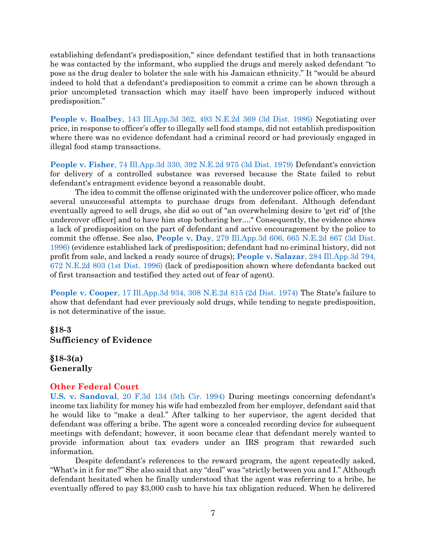establishing defendant's predisposition," since defendant testified that in both transactions he was contacted by the informant, who supplied the drugs and merely asked defendant "to pose as the drug dealer to bolster the sale with his Jamaican ethnicity." It "would be absurd indeed to hold that a defendant's predisposition to commit a crime can be shown through a prior uncompleted transaction which may itself have been improperly induced without predisposition."

**People v. Boalbey**[, 143 Ill.App.3d 362, 493 N.E.2d 369 \(3d Dist. 1986\)](https://www.westlaw.com/Document/I2efccec9d37311d98ac8f235252e36df/View/FullText.html?transitionType=Default&contextData=(sc.Default)&VR=3.0&RS=da3.0) Negotiating over price, in response to officer's offer to illegally sell food stamps, did not establish predisposition where there was no evidence defendant had a criminal record or had previously engaged in illegal food stamp transactions.

**People v. Fisher**[, 74 Ill.App.3d 330, 392 N.E.2d 975 \(3d Dist. 1979\)](https://www.westlaw.com/Document/I873b3d31d93911d983e7e9deff98dc6f/View/FullText.html?transitionType=Default&contextData=(sc.Default)&VR=3.0&RS=da3.0) Defendant's conviction for delivery of a controlled substance was reversed because the State failed to rebut defendant's entrapment evidence beyond a reasonable doubt.

The idea to commit the offense originated with the undercover police officer, who made several unsuccessful attempts to purchase drugs from defendant. Although defendant eventually agreed to sell drugs, she did so out of "an overwhelming desire to 'get rid' of [the undercover officer] and to have him stop bothering her...." Consequently, the evidence shows a lack of predisposition on the part of defendant and active encouragement by the police to commit the offense. See also, **People v. Day**[, 279 Ill.App.3d 606, 665 N.E.2d 867 \(3d Dist.](https://www.westlaw.com/Document/I2a19fc1ed3ce11d9bf60c1d57ebc853e/View/FullText.html?transitionType=Default&contextData=(sc.Default)&VR=3.0&RS=da3.0)  [1996\)](https://www.westlaw.com/Document/I2a19fc1ed3ce11d9bf60c1d57ebc853e/View/FullText.html?transitionType=Default&contextData=(sc.Default)&VR=3.0&RS=da3.0) (evidence established lack of predisposition; defendant had no criminal history, did not profit from sale, and lacked a ready source of drugs); **People v. Salazar**[, 284 Ill.App.3d 794,](https://www.westlaw.com/Document/I66b10d2ed3de11d99439b076ef9ec4de/View/FullText.html?transitionType=Default&contextData=(sc.Default)&VR=3.0&RS=da3.0)  [672 N.E.2d 803 \(1st Dist. 1996\)](https://www.westlaw.com/Document/I66b10d2ed3de11d99439b076ef9ec4de/View/FullText.html?transitionType=Default&contextData=(sc.Default)&VR=3.0&RS=da3.0) (lack of predisposition shown where defendants backed out of first transaction and testified they acted out of fear of agent).

**People v. Cooper**[, 17 Ill.App.3d 934, 308 N.E.2d 815 \(2d Dist. 1974\)](https://www.westlaw.com/Document/I986c3bb0d93e11d9a489ee624f1f6e1a/View/FullText.html?transitionType=Default&contextData=(sc.Default)&VR=3.0&RS=da3.0) The State's failure to show that defendant had ever previously sold drugs, while tending to negate predisposition, is not determinative of the issue.

# <span id="page-7-0"></span>**§18-3 Sufficiency of Evidence**

<span id="page-7-1"></span>**§18-3(a) Generally**

## **Other Federal Court**

**U.S. v. Sandoval**[, 20 F.3d 134 \(5th Cir. 1994\)](https://www.westlaw.com/Document/Ie5775784970311d9bdd1cfdd544ca3a4/View/FullText.html?transitionType=Default&contextData=(sc.Default)&VR=3.0&RS=da3.0) During meetings concerning defendant's income tax liability for money his wife had embezzled from her employer, defendant said that he would like to "make a deal." After talking to her supervisor, the agent decided that defendant was offering a bribe. The agent wore a concealed recording device for subsequent meetings with defendant; however, it soon became clear that defendant merely wanted to provide information about tax evaders under an IRS program that rewarded such information.

Despite defendant's references to the reward program, the agent repeatedly asked, "What's in it for me?" She also said that any "deal" was "strictly between you and I." Although defendant hesitated when he finally understood that the agent was referring to a bribe, he eventually offered to pay \$3,000 cash to have his tax obligation reduced. When he delivered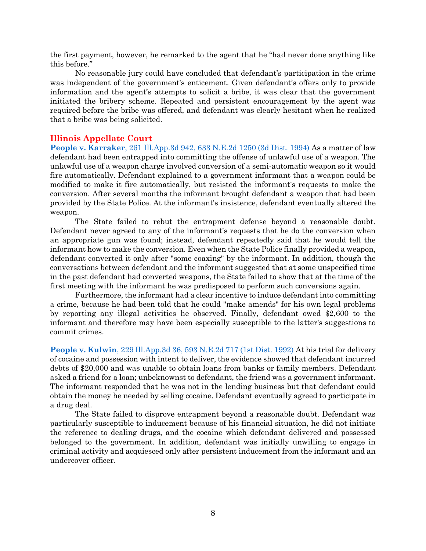the first payment, however, he remarked to the agent that he "had never done anything like this before."

No reasonable jury could have concluded that defendant's participation in the crime was independent of the government's enticement. Given defendant's offers only to provide information and the agent's attempts to solicit a bribe, it was clear that the government initiated the bribery scheme. Repeated and persistent encouragement by the agent was required before the bribe was offered, and defendant was clearly hesitant when he realized that a bribe was being solicited.

## **Illinois Appellate Court**

**People v. Karraker**[, 261 Ill.App.3d 942, 633 N.E.2d 1250 \(3d Dist. 1994\)](https://www.westlaw.com/Document/I31453152d3e511d983e7e9deff98dc6f/View/FullText.html?transitionType=Default&contextData=(sc.Default)&VR=3.0&RS=da3.0) As a matter of law defendant had been entrapped into committing the offense of unlawful use of a weapon. The unlawful use of a weapon charge involved conversion of a semi-automatic weapon so it would fire automatically. Defendant explained to a government informant that a weapon could be modified to make it fire automatically, but resisted the informant's requests to make the conversion. After several months the informant brought defendant a weapon that had been provided by the State Police. At the informant's insistence, defendant eventually altered the weapon.

The State failed to rebut the entrapment defense beyond a reasonable doubt. Defendant never agreed to any of the informant's requests that he do the conversion when an appropriate gun was found; instead, defendant repeatedly said that he would tell the informant how to make the conversion. Even when the State Police finally provided a weapon, defendant converted it only after "some coaxing" by the informant. In addition, though the conversations between defendant and the informant suggested that at some unspecified time in the past defendant had converted weapons, the State failed to show that at the time of the first meeting with the informant he was predisposed to perform such conversions again.

Furthermore, the informant had a clear incentive to induce defendant into committing a crime, because he had been told that he could "make amends" for his own legal problems by reporting any illegal activities he observed. Finally, defendant owed \$2,600 to the informant and therefore may have been especially susceptible to the latter's suggestions to commit crimes.

**People v. Kulwin**[, 229 Ill.App.3d 36, 593 N.E.2d 717 \(1st Dist. 1992\)](https://www.westlaw.com/Document/Ie77ab253d3f011d98ac8f235252e36df/View/FullText.html?transitionType=Default&contextData=(sc.Default)&VR=3.0&RS=da3.0) At his trial for delivery of cocaine and possession with intent to deliver, the evidence showed that defendant incurred debts of \$20,000 and was unable to obtain loans from banks or family members. Defendant asked a friend for a loan; unbeknownst to defendant, the friend was a government informant. The informant responded that he was not in the lending business but that defendant could obtain the money he needed by selling cocaine. Defendant eventually agreed to participate in a drug deal.

The State failed to disprove entrapment beyond a reasonable doubt. Defendant was particularly susceptible to inducement because of his financial situation, he did not initiate the reference to dealing drugs, and the cocaine which defendant delivered and possessed belonged to the government. In addition, defendant was initially unwilling to engage in criminal activity and acquiesced only after persistent inducement from the informant and an undercover officer.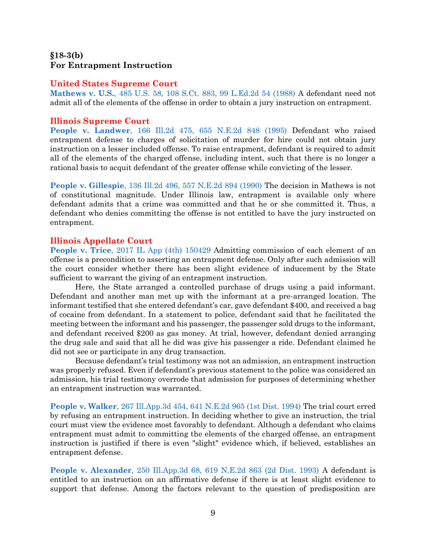# <span id="page-9-0"></span>**§18-3(b) For Entrapment Instruction**

## **United States Supreme Court**

**Mathews v. U.S.**[, 485 U.S. 58, 108 S.Ct. 883, 99 L.Ed.2d 54 \(1988\)](https://www.westlaw.com/Document/I235141ac9c1e11d9bdd1cfdd544ca3a4/View/FullText.html?transitionType=Default&contextData=(sc.Default)&VR=3.0&RS=da3.0) A defendant need not admit all of the elements of the offense in order to obtain a jury instruction on entrapment.

## **Illinois Supreme Court**

**People v. Landwer**[, 166 Ill.2d 475, 655 N.E.2d 848 \(1995\)](https://www.westlaw.com/Document/I3cf46e4cd3df11d99439b076ef9ec4de/View/FullText.html?transitionType=Default&contextData=(sc.Default)&VR=3.0&RS=da3.0) Defendant who raised entrapment defense to charges of solicitation of murder for hire could not obtain jury instruction on a lesser included offense. To raise entrapment, defendant is required to admit all of the elements of the charged offense, including intent, such that there is no longer a rational basis to acquit defendant of the greater offense while convicting of the lesser.

**People v. Gillespie**[, 136 Ill.2d 496, 557 N.E.2d 894 \(1990\)](https://www.westlaw.com/Document/I68f6e669d44a11d98ac8f235252e36df/View/FullText.html?transitionType=Default&contextData=(sc.Default)&VR=3.0&RS=da3.0) The decision in Mathews is not of constitutional magnitude. Under Illinois law, entrapment is available only where defendant admits that a crime was committed and that he or she committed it. Thus, a defendant who denies committing the offense is not entitled to have the jury instructed on entrapment.

### **Illinois Appellate Court**

**People v. Trice**[, 2017 IL App \(4th\) 150429](https://www.westlaw.com/Document/I9bfde390bf6c11e79c8f8bb0457c507d/View/FullText.html?transitionType=Default&contextData=(sc.Default)&VR=3.0&RS=da3.0) Admitting commission of each element of an offense is a precondition to asserting an entrapment defense. Only after such admission will the court consider whether there has been slight evidence of inducement by the State sufficient to warrant the giving of an entrapment instruction.

Here, the State arranged a controlled purchase of drugs using a paid informant. Defendant and another man met up with the informant at a pre-arranged location. The informant testified that she entered defendant's car, gave defendant \$400, and received a bag of cocaine from defendant. In a statement to police, defendant said that he facilitated the meeting between the informant and his passenger, the passenger sold drugs to the informant, and defendant received \$200 as gas money. At trial, however, defendant denied arranging the drug sale and said that all he did was give his passenger a ride. Defendant claimed he did not see or participate in any drug transaction.

Because defendant's trial testimony was not an admission, an entrapment instruction was properly refused. Even if defendant's previous statement to the police was considered an admission, his trial testimony overrode that admission for purposes of determining whether an entrapment instruction was warranted.

**People v. Walker**[, 267 Ill.App.3d 454, 641 N.E.2d 965 \(1st Dist. 1994\)](https://www.westlaw.com/Document/If6d94307d3e711d99439b076ef9ec4de/View/FullText.html?transitionType=Default&contextData=(sc.Default)&VR=3.0&RS=da3.0) The trial court erred by refusing an entrapment instruction. In deciding whether to give an instruction, the trial court must view the evidence most favorably to defendant. Although a defendant who claims entrapment must admit to committing the elements of the charged offense, an entrapment instruction is justified if there is even "slight" evidence which, if believed, establishes an entrapment defense.

**People v. Alexander**[, 250 Ill.App.3d 68, 619 N.E.2d 863 \(2d Dist. 1993\)](https://www.westlaw.com/Document/I0dcbc167d3ec11d9bf60c1d57ebc853e/View/FullText.html?transitionType=Default&contextData=(sc.Default)&VR=3.0&RS=da3.0) A defendant is entitled to an instruction on an affirmative defense if there is at least slight evidence to support that defense. Among the factors relevant to the question of predisposition are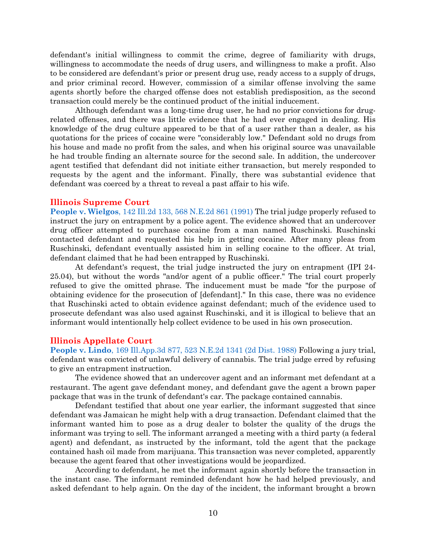defendant's initial willingness to commit the crime, degree of familiarity with drugs, willingness to accommodate the needs of drug users, and willingness to make a profit. Also to be considered are defendant's prior or present drug use, ready access to a supply of drugs, and prior criminal record. However, commission of a similar offense involving the same agents shortly before the charged offense does not establish predisposition, as the second transaction could merely be the continued product of the initial inducement.

Although defendant was a long-time drug user, he had no prior convictions for drugrelated offenses, and there was little evidence that he had ever engaged in dealing. His knowledge of the drug culture appeared to be that of a user rather than a dealer, as his quotations for the prices of cocaine were "considerably low." Defendant sold no drugs from his house and made no profit from the sales, and when his original source was unavailable he had trouble finding an alternate source for the second sale. In addition, the undercover agent testified that defendant did not initiate either transaction, but merely responded to requests by the agent and the informant. Finally, there was substantial evidence that defendant was coerced by a threat to reveal a past affair to his wife.

#### **Illinois Supreme Court**

**People v. Wielgos**[, 142 Ill.2d 133, 568 N.E.2d 861 \(1991\)](https://www.westlaw.com/Document/I14f0576ad43911d9a489ee624f1f6e1a/View/FullText.html?transitionType=Default&contextData=(sc.Default)&VR=3.0&RS=da3.0) The trial judge properly refused to instruct the jury on entrapment by a police agent. The evidence showed that an undercover drug officer attempted to purchase cocaine from a man named Ruschinski. Ruschinski contacted defendant and requested his help in getting cocaine. After many pleas from Ruschinski, defendant eventually assisted him in selling cocaine to the officer. At trial, defendant claimed that he had been entrapped by Ruschinski.

At defendant's request, the trial judge instructed the jury on entrapment (IPI 24- 25.04), but without the words "and/or agent of a public officer." The trial court properly refused to give the omitted phrase. The inducement must be made "for the purpose of obtaining evidence for the prosecution of [defendant]." In this case, there was no evidence that Ruschinski acted to obtain evidence against defendant; much of the evidence used to prosecute defendant was also used against Ruschinski, and it is illogical to believe that an informant would intentionally help collect evidence to be used in his own prosecution.

#### **Illinois Appellate Court**

**People v. Lindo**[, 169 Ill.App.3d 877, 523 N.E.2d 1341 \(2d Dist. 1988\)](https://www.westlaw.com/Document/I7876f0a4d2b311d98ac8f235252e36df/View/FullText.html?transitionType=Default&contextData=(sc.Default)&VR=3.0&RS=da3.0) Following a jury trial, defendant was convicted of unlawful delivery of cannabis. The trial judge erred by refusing to give an entrapment instruction.

The evidence showed that an undercover agent and an informant met defendant at a restaurant. The agent gave defendant money, and defendant gave the agent a brown paper package that was in the trunk of defendant's car. The package contained cannabis.

Defendant testified that about one year earlier, the informant suggested that since defendant was Jamaican he might help with a drug transaction. Defendant claimed that the informant wanted him to pose as a drug dealer to bolster the quality of the drugs the informant was trying to sell. The informant arranged a meeting with a third party (a federal agent) and defendant, as instructed by the informant, told the agent that the package contained hash oil made from marijuana. This transaction was never completed, apparently because the agent feared that other investigations would be jeopardized.

According to defendant, he met the informant again shortly before the transaction in the instant case. The informant reminded defendant how he had helped previously, and asked defendant to help again. On the day of the incident, the informant brought a brown